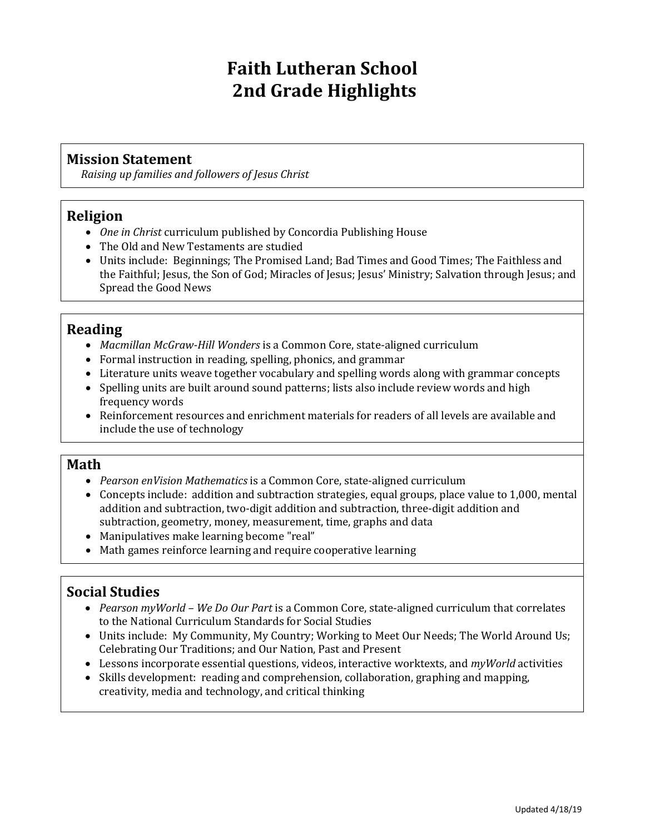# **Faith Lutheran School 2nd Grade Highlights**

## **Mission Statement**

*Raising up families and followers of Jesus Christ*

## **Religion**

- *One in Christ* curriculum published by Concordia Publishing House
- The Old and New Testaments are studied
- Units include: Beginnings; The Promised Land; Bad Times and Good Times; The Faithless and the Faithful; Jesus, the Son of God; Miracles of Jesus; Jesus' Ministry; Salvation through Jesus; and Spread the Good News

## **Reading**

- *Macmillan McGraw-Hill Wonders* is a Common Core, state-aligned curriculum
- Formal instruction in reading, spelling, phonics, and grammar
- Literature units weave together vocabulary and spelling words along with grammar concepts
- Spelling units are built around sound patterns; lists also include review words and high frequency words
- Reinforcement resources and enrichment materials for readers of all levels are available and include the use of technology

#### **Math**

- *Pearson enVision Mathematics* is a Common Core, state-aligned curriculum
- Concepts include: addition and subtraction strategies, equal groups, place value to 1,000, mental addition and subtraction, two-digit addition and subtraction, three-digit addition and subtraction, geometry, money, measurement, time, graphs and data
- Manipulatives make learning become "real"
- Math games reinforce learning and require cooperative learning

### **Social Studies**

- *Pearson myWorld – We Do Our Part* is a Common Core, state-aligned curriculum that correlates to the National Curriculum Standards for Social Studies
- Units include: My Community, My Country; Working to Meet Our Needs; The World Around Us; Celebrating Our Traditions; and Our Nation, Past and Present
- Lessons incorporate essential questions, videos, interactive worktexts, and *myWorld* activities
- Skills development: reading and comprehension, collaboration, graphing and mapping, creativity, media and technology, and critical thinking